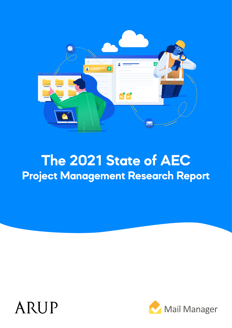

# **The 2021 State of AEC Project Management Research Report**

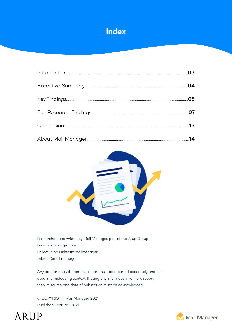

| .04 |
|-----|
|     |
|     |
|     |
|     |



Researched and written by Mail Manager, part of the Arup Group www.mailmanager.com Follow us on LinkedIn: mailmanager twitter: @mail\_manager

Any data or analysis from this report must be reported accurately and not used in a misleading context. If using any information from the report, then its source and date of publication must be acknowledged.

© COPYRIGHT Mail Manager 2021 Published February 2021



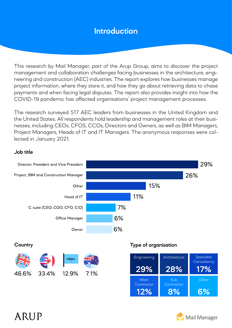### **Introduction**

This research by Mail Manager, part of the Arup Group, aims to discover the project management and collaboration challenges facing businesses in the architecture, engineering and construction (AEC) industries. The report explores how businesses manage project information, where they store it, and how they go about retrieving data to chase payments and when facing legal disputes. The report also provides insight into how the COVID-19 pandemic has affected organisations' project management processes.

The research surveyed 517 AEC leaders from businesses in the United Kingdom and the United States. All respondents hold leadership and management roles at their businesses, including CEOs, CFOS, CCOs, Directors and Owners, as well as BIM Managers, Project Managers, Heads of IT and IT Managers. The anonymous responses were collected in January 2021.

#### **Job title**



**12%**

**8% 6%**

Mail Manager

## ARIJP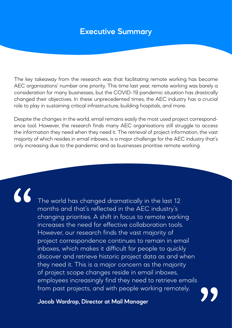### **Executive Summary**

The key takeaway from the research was that facilitating remote working has become AEC organisations' number one priority. This time last year, remote working was barely a consideration for many businesses, but the COVID-19 pandemic situation has drastically changed their objectives. In these unprecedented times, the AEC industry has a crucial role to play in sustaining critical infrastructure, building hospitals, and more.

Despite the changes in the world, email remains easily the most used project correspondence tool. However, the research finds many AEC organisations still struggle to access the information they need when they need it. The retrieval of project information, the vast majority of which resides in email inboxes, is a major challenge for the AEC industry that's only increasing due to the pandemic and as businesses prioritise remote working.

# "

The world has changed dramatically in the last 12 months and that's reflected in the AEC industry's changing priorities. A shift in focus to remote working increases the need for effective collaboration tools. However, our research finds the vast majority of project correspondence continues to remain in email inboxes, which makes it difficult for people to quickly discover and retrieve historic project data as and when they need it. This is a major concern as the majority of project scope changes reside in email inboxes, employees increasingly find they need to retrieve emails from past projects, and with people working remotely.

**Jacob Wardrop, Director at Mail Manager**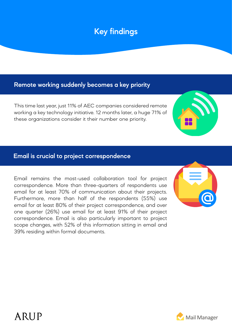### **Key findings**

### **Remote working suddenly becomes a key priority**

This time last year, just 11% of AEC companies considered remote working a key technology initiative. 12 months later, a huge 71% of these organizations consider it their number one priority.

#### **Email is crucial to project correspondence**

Email remains the most-used collaboration tool for project correspondence. More than three-quarters of respondents use email for at least 70% of communication about their projects. Furthermore, more than half of the respondents (55%) use email for at least 80% of their project correspondence, and over one quarter (26%) use email for at least 91% of their project correspondence. Email is also particularly important to project scope changes, with 52% of this information sitting in email and 39% residing within formal documents.



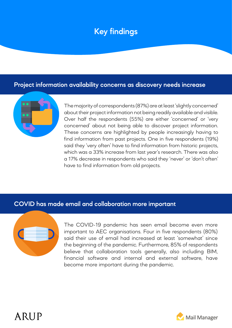### **Key findings**

#### **Project information availability concerns as discovery needs increase**



The majority of correspondents (87%) are at least 'slightly concerned' about their project information not being readily available and visible. Over half the respondents (55%) are either 'concerned' or 'very concerned' about not being able to discover project information. These concerns are highlighted by people increasingly having to find information from past projects. One in five respondents (19%) said they 'very often' have to find information from historic projects, which was a 33% increase from last year's research. There was also a 17% decrease in respondents who said they 'never' or 'don't often' have to find information from old projects.

#### **COVID has made email and collaboration more important**



The COVID-19 pandemic has seen email become even more important to AEC organisations. Four in five respondents (80%) said their use of email had increased at least 'somewhat' since the beginning of the pandemic. Furthermore, 85% of respondents believe that collaboration tools generally, also including BIM, financial software and internal and external software, have become more important during the pandemic.



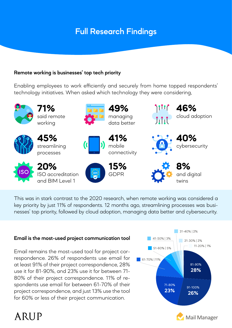#### **Remote working is businesses' top tech priority**

Enabling employees to work efficiently and securely from home topped respondents' technology initiatives. When asked which technology they were considering,



This was in stark contrast to the 2020 research, when remote working was considered a key priority by just 11% of respondents. 12 months ago, streamlining processes was businesses' top priority, followed by cloud adoption, managing data better and cybersecurity.

#### **Email is the most-used project communication tool**

Email remains the most-used tool for project correspondence. 26% of respondents use email for at least 91% of their project correspondence, 28% use it for 81-90%, and 23% use it for between 71- 80% of their project correspondence. 11% of respondents use email for between 61-70% of their project correspondence, and just 13% use the tool for 60% or less of their project communication.

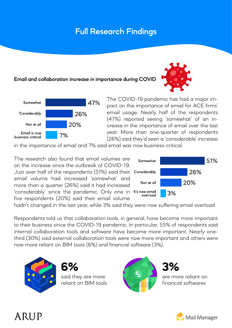#### **Email and collaboration increase in importance during COVID**





The COVID-19 pandemic has had a major impact on the importance of email for ACE firms' email usage. Nearly half of the respondents (47%) reported seeing 'somewhat' of an increase in the importance of email over the last year. More than one-quarter of respondents (26%) said they'd seen a 'considerable' increase

in the importance of email and 7% said email was now business-critical.

The research also found that email volumes are on the increase since the outbreak of COVID-19. Just over half of the respondents (51%) said their email volume had increased 'somewhat' and more than a quarter (26%) said it had increased 'considerably' since the pandemic. Only one in five respondents (20%) said their email volume



hadn't changed in the last year, while 3% said they were now suffering email overload.

Respondents told us that collaboration tools, in general, have become more important to their business since the COVID-19 pandemic. In particular, 55% of respondents said internal collaboration tools and software have become more important. Nearly onethird (30%) said external collaboration tools were now more important and others were now more reliant on BIM tools (6%) and financial software (3%).



ARIJP

said they are more reliant on BIM tools



are more reliant on financial softwares

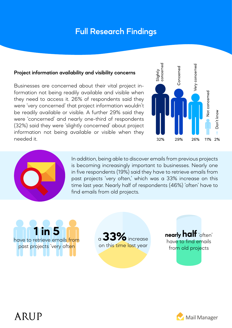#### **Project information availability and visibility concerns**

Businesses are concerned about their vital project information not being readily available and visible when they need to access it. 26% of respondents said they were 'very concerned' that project information wouldn't be readily available or visible. A further 29% said they were 'concerned' and nearly one-third of respondents (32%) said they were 'slightly concerned' about project information not being available or visible when they needed it.





In addition, being able to discover emails from previous projects is becoming increasingly important to businesses. Nearly one in five respondents (19%) said they have to retrieve emails from past projects 'very often,' which was a 33% increase on this time last year. Nearly half of respondents (46%) 'often' have to find emails from old projects.

**1 in 5** have to retrieve emails from past projects 'very often

ARUP

<sup>a</sup>**33%** increase on this time last year

**nearly half** 'often' have to find emails from old projects

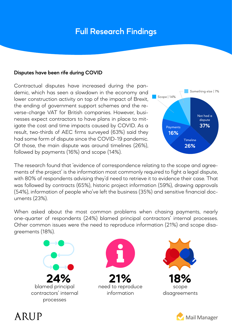#### **Disputes have been rife during COVID**

Contractual disputes have increased during the pandemic, which has seen a slowdown in the economy and lower construction activity on top of the impact of Brexit, the ending of government support schemes and the reverse-charge VAT for British companies. However, businesses expect contractors to have plans in place to mitigate the cost and time impacts caused by COVID. As a result, two-thirds of AEC firms surveyed (63%) said they had some form of dispute since the COVID-19 pandemic. Of those, the main dispute was around timelines (26%), followed by payments (16%) and scope (14%).



The research found that 'evidence of correspondence relating to the scope and agreements of the project' is the information most commonly required to fight a legal dispute, with 80% of respondents advising they'd need to retrieve it to evidence their case. That was followed by contracts (65%), historic project information (59%), drawing approvals (54%), information of people who've left the business (35%) and sensitive financial documents (23%).

When asked about the most common problems when chasing payments, nearly one-quarter of respondents (24%) blamed principal contractors' internal processes. Other common issues were the need to reproduce information (21%) and scope disagreements (18%).







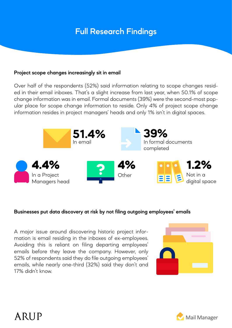#### **Project scope changes increasingly sit in email**

Over half of the respondents (52%) said information relating to scope changes resided in their email inboxes. That's a slight increase from last year, when 50.1% of scope change information was in email. Formal documents (39%) were the second-most popular place for scope change information to reside. Only 4% of project scope change information resides in project managers' heads and only 1% isn't in digital spaces.



#### **Businesses put data discovery at risk by not filing outgoing employees' emails**

A major issue around discovering historic project information is email residing in the inboxes of ex-employees. Avoiding this is reliant on filing departing employees' emails before they leave the company. However, only 52% of respondents said they do file outgoing employees' emails, while nearly one-third (32%) said they don't and 17% didn't know.



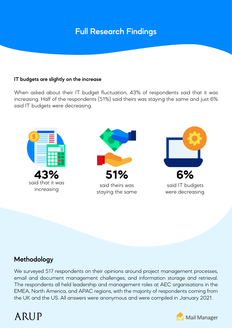#### **IT budgets are slightly on the increase**

When asked about their IT budget fluctuation, 43% of respondents said that it was increasing. Half of the respondents (51%) said theirs was staying the same and just 6% said IT budgets were decreasing.



### **Methodology**

We surveyed 517 respondents on their opinions around project management processes, email and document management challenges, and information storage and retrieval. The respondents all held leadership and management roles at AEC organisations in the EMEA, North America, and APAC regions, with the majority of respondents coming from the UK and the US. All answers were anonymous and were compiled in January 2021.



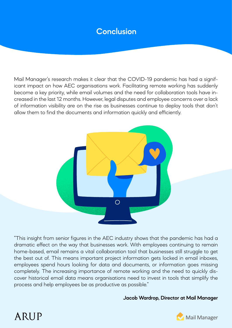### **Conclusion**

Mail Manager's research makes it clear that the COVID-19 pandemic has had a significant impact on how AEC organisations work. Facilitating remote working has suddenly become a key priority, while email volumes and the need for collaboration tools have increased in the last 12 months. However, legal disputes and employee concerns over a lack of information visibility are on the rise as businesses continue to deploy tools that don't allow them to find the documents and information quickly and efficiently.



"This insight from senior figures in the AEC industry shows that the pandemic has had a dramatic effect on the way that businesses work. With employees continuing to remain home-based, email remains a vital collaboration tool that businesses still struggle to get the best out of. This means important project information gets locked in email inboxes, employees spend hours looking for data and documents, or information goes missing completely. The increasing importance of remote working and the need to quickly discover historical email data means organisations need to invest in tools that simplify the process and help employees be as productive as possible."

#### **Jacob Wardrop, Director at Mail Manager**



# ARIJP